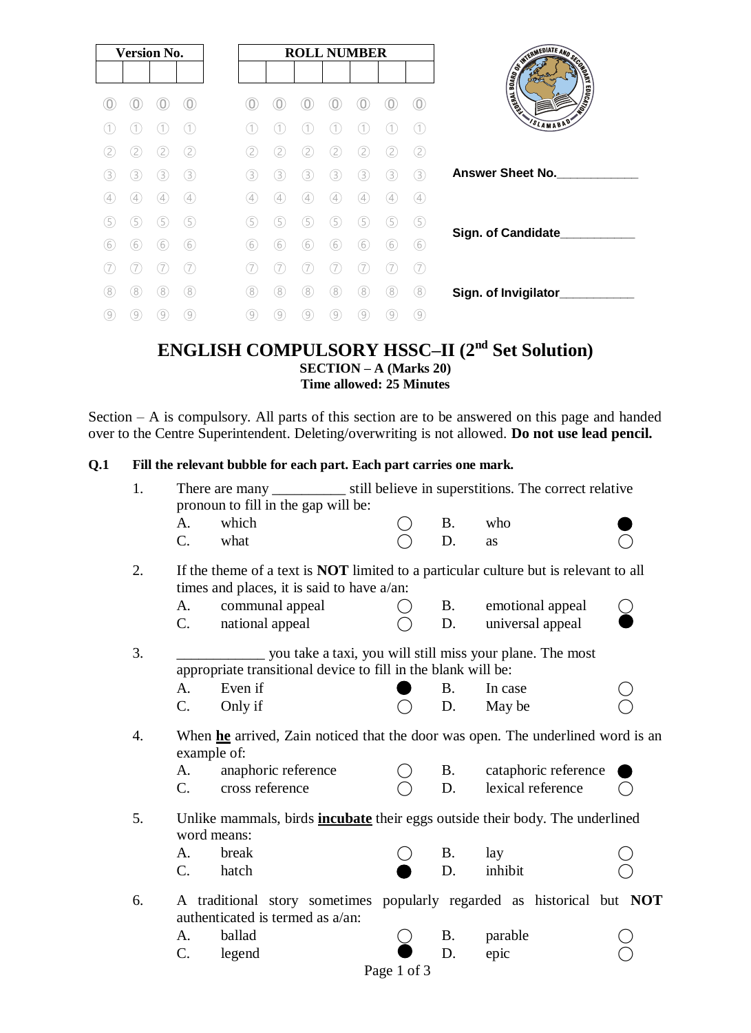| <b>Version No.</b> |   |   |     | <b>ROLL NUMBER</b> |     |   |   |   |          |    |                   |                              |
|--------------------|---|---|-----|--------------------|-----|---|---|---|----------|----|-------------------|------------------------------|
|                    |   |   |     |                    |     |   |   |   |          |    |                   |                              |
|                    |   |   |     |                    |     |   |   |   |          |    |                   | AND REDIATE AND SCRIPTION OF |
|                    |   |   | 1   |                    |     |   |   |   |          |    |                   | SLAMABAD*                    |
|                    |   |   | 2   |                    |     |   |   |   |          |    | 2                 |                              |
| 3                  | 3 | 3 | (3) |                    | 3.  | 3 | 3 | 3 | 3        | 3  | (3)               | <b>Answer Sheet No.</b>      |
| 4                  |   | 4 | (4  |                    | 4   |   | 4 | 4 |          |    | (4)               |                              |
| (5                 | 5 | 5 | (5) |                    | 5   | 5 | 5 |   |          | 5  | (5)               |                              |
| (6                 | 6 | 6 | (6) |                    | 6   | 6 | 6 | 6 | 6        | 6  | (6)               | Sign. of Candidate           |
|                    |   |   |     |                    |     |   |   |   |          |    |                   |                              |
| (8)                | 8 | 8 | (8) |                    | (8) | 8 | 8 | 8 | 8        | (8 | (8)               | Sign. of Invigilator         |
| 9                  | 9 |   | (9  |                    | 9   | 9 | 9 | 9 | <u>д</u> | 0° | $\left( 9\right)$ |                              |

# **ENGLISH COMPULSORY HSSC–II (2nd Set Solution) SECTION – A (Marks 20) Time allowed: 25 Minutes**

Section – A is compulsory. All parts of this section are to be answered on this page and handed over to the Centre Superintendent. Deleting/overwriting is not allowed. **Do not use lead pencil.**

# **Q.1 Fill the relevant bubble for each part. Each part carries one mark.**

| 1.               |                                                                                             | pronoun to fill in the gap will be:                           |             |           |                                                                                     |  |  |  |  |  |
|------------------|---------------------------------------------------------------------------------------------|---------------------------------------------------------------|-------------|-----------|-------------------------------------------------------------------------------------|--|--|--|--|--|
|                  | A.                                                                                          | which                                                         |             | <b>B.</b> | who                                                                                 |  |  |  |  |  |
|                  | $\mathcal{C}$ .                                                                             | what                                                          |             | D.        | as                                                                                  |  |  |  |  |  |
|                  |                                                                                             |                                                               |             |           |                                                                                     |  |  |  |  |  |
| 2.               | If the theme of a text is <b>NOT</b> limited to a particular culture but is relevant to all |                                                               |             |           |                                                                                     |  |  |  |  |  |
|                  |                                                                                             | times and places, it is said to have a/an:                    |             |           |                                                                                     |  |  |  |  |  |
|                  | A.                                                                                          | communal appeal                                               |             | <b>B.</b> | emotional appeal                                                                    |  |  |  |  |  |
|                  | C.                                                                                          | national appeal                                               |             | D.        | universal appeal                                                                    |  |  |  |  |  |
| 3.               |                                                                                             |                                                               |             |           | you take a taxi, you will still miss your plane. The most                           |  |  |  |  |  |
|                  |                                                                                             | appropriate transitional device to fill in the blank will be: |             |           |                                                                                     |  |  |  |  |  |
|                  | A.                                                                                          | Even if                                                       |             | <b>B.</b> | In case                                                                             |  |  |  |  |  |
|                  | $C$ .                                                                                       | Only if                                                       |             | D.        | May be                                                                              |  |  |  |  |  |
| $\overline{4}$ . |                                                                                             |                                                               |             |           | When he arrived, Zain noticed that the door was open. The underlined word is an     |  |  |  |  |  |
|                  | example of:                                                                                 |                                                               |             |           |                                                                                     |  |  |  |  |  |
|                  | A.                                                                                          | anaphoric reference                                           |             | <b>B.</b> | cataphoric reference                                                                |  |  |  |  |  |
|                  | $C_{\cdot}$                                                                                 | cross reference                                               |             | D.        | lexical reference                                                                   |  |  |  |  |  |
| 5.               |                                                                                             |                                                               |             |           | Unlike mammals, birds <i>incubate</i> their eggs outside their body. The underlined |  |  |  |  |  |
|                  |                                                                                             | word means:                                                   |             |           |                                                                                     |  |  |  |  |  |
|                  | A.                                                                                          | break                                                         |             | <b>B.</b> | lay                                                                                 |  |  |  |  |  |
|                  | C.                                                                                          | hatch                                                         |             | D.        | inhibit                                                                             |  |  |  |  |  |
| 6.               | A traditional story sometimes popularly regarded as historical but NOT                      |                                                               |             |           |                                                                                     |  |  |  |  |  |
|                  | authenticated is termed as a/an:                                                            |                                                               |             |           |                                                                                     |  |  |  |  |  |
|                  | A.                                                                                          | ballad                                                        |             | <b>B.</b> | parable                                                                             |  |  |  |  |  |
|                  | C.                                                                                          | legend                                                        |             | D.        | epic                                                                                |  |  |  |  |  |
|                  |                                                                                             |                                                               | Page 1 of 3 |           |                                                                                     |  |  |  |  |  |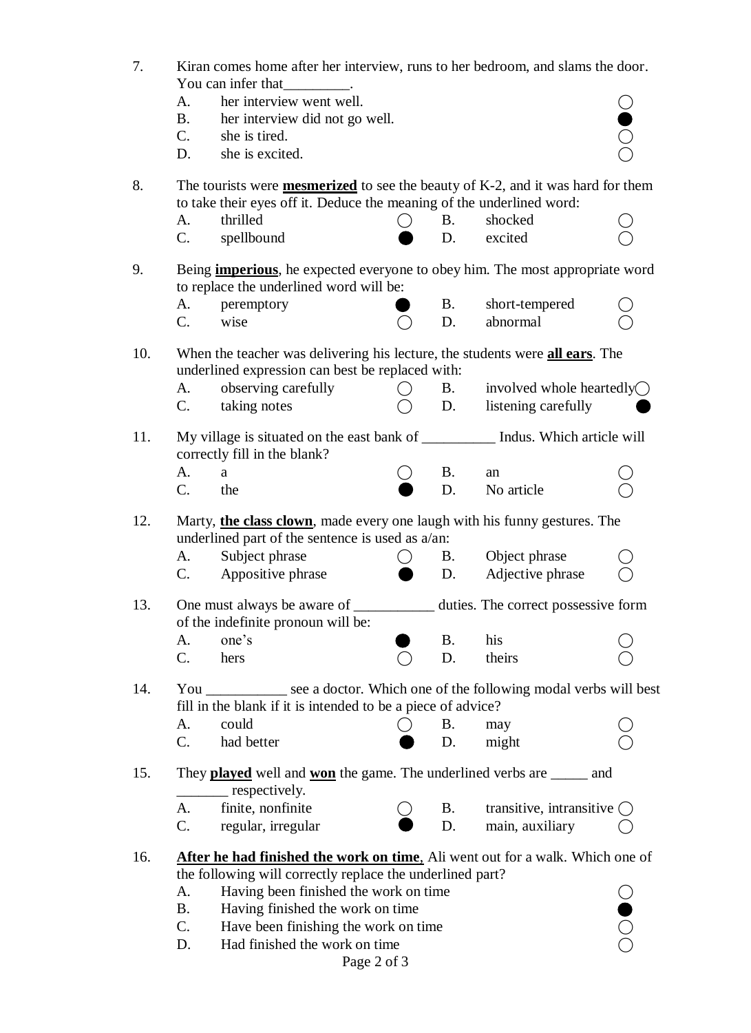| 7.  | Kiran comes home after her interview, runs to her bedroom, and slams the door.<br>You can infer that                                                            |                                                                                                                                                                         |                                                 |           |                                     |  |  |  |  |  |  |
|-----|-----------------------------------------------------------------------------------------------------------------------------------------------------------------|-------------------------------------------------------------------------------------------------------------------------------------------------------------------------|-------------------------------------------------|-----------|-------------------------------------|--|--|--|--|--|--|
|     | A.                                                                                                                                                              | her interview went well.                                                                                                                                                |                                                 |           |                                     |  |  |  |  |  |  |
|     | <b>B.</b>                                                                                                                                                       | her interview did not go well.                                                                                                                                          |                                                 |           |                                     |  |  |  |  |  |  |
|     | C.                                                                                                                                                              | she is tired.                                                                                                                                                           |                                                 |           |                                     |  |  |  |  |  |  |
|     | D.                                                                                                                                                              | she is excited.                                                                                                                                                         |                                                 |           |                                     |  |  |  |  |  |  |
| 8.  | The tourists were <b>mesmerized</b> to see the beauty of K-2, and it was hard for them<br>to take their eyes off it. Deduce the meaning of the underlined word: |                                                                                                                                                                         |                                                 |           |                                     |  |  |  |  |  |  |
|     | thrilled<br>A.                                                                                                                                                  |                                                                                                                                                                         | $\left( \begin{array}{c} 1 \end{array} \right)$ | <b>B.</b> | shocked                             |  |  |  |  |  |  |
|     | C.                                                                                                                                                              | spellbound                                                                                                                                                              |                                                 | D.        | excited                             |  |  |  |  |  |  |
| 9.  | Being <b>imperious</b> , he expected everyone to obey him. The most appropriate word<br>to replace the underlined word will be:                                 |                                                                                                                                                                         |                                                 |           |                                     |  |  |  |  |  |  |
|     | A.                                                                                                                                                              | peremptory                                                                                                                                                              |                                                 | <b>B.</b> | short-tempered                      |  |  |  |  |  |  |
|     | C.<br>wise                                                                                                                                                      |                                                                                                                                                                         |                                                 | D.        | abnormal                            |  |  |  |  |  |  |
| 10. | When the teacher was delivering his lecture, the students were <b>all ears</b> . The<br>underlined expression can best be replaced with:                        |                                                                                                                                                                         |                                                 |           |                                     |  |  |  |  |  |  |
|     | A.                                                                                                                                                              | observing carefully                                                                                                                                                     |                                                 | <b>B.</b> | involved whole heartedly $\bigcirc$ |  |  |  |  |  |  |
|     | C.                                                                                                                                                              | taking notes                                                                                                                                                            |                                                 | D.        | listening carefully                 |  |  |  |  |  |  |
| 11. | My village is situated on the east bank of _________ Indus. Which article will<br>correctly fill in the blank?                                                  |                                                                                                                                                                         |                                                 |           |                                     |  |  |  |  |  |  |
|     | A.<br>a                                                                                                                                                         |                                                                                                                                                                         |                                                 | <b>B.</b> | an                                  |  |  |  |  |  |  |
|     | C.<br>the                                                                                                                                                       |                                                                                                                                                                         |                                                 | D.        | No article                          |  |  |  |  |  |  |
| 12. | A.<br>C.                                                                                                                                                        | Marty, the class clown, made every one laugh with his funny gestures. The<br>underlined part of the sentence is used as $a/an$ .<br>Subject phrase<br>Appositive phrase |                                                 | Β.<br>D.  | Object phrase<br>Adjective phrase   |  |  |  |  |  |  |
| 13. | One must always be aware of<br>duties. The correct possessive form                                                                                              |                                                                                                                                                                         |                                                 |           |                                     |  |  |  |  |  |  |
|     |                                                                                                                                                                 | of the indefinite pronoun will be:                                                                                                                                      |                                                 |           |                                     |  |  |  |  |  |  |
|     | one's<br>A.                                                                                                                                                     |                                                                                                                                                                         |                                                 | <b>B.</b> | his                                 |  |  |  |  |  |  |
|     | C.<br>hers                                                                                                                                                      |                                                                                                                                                                         |                                                 | D.        | theirs                              |  |  |  |  |  |  |
| 14. | see a doctor. Which one of the following modal verbs will best<br>You                                                                                           |                                                                                                                                                                         |                                                 |           |                                     |  |  |  |  |  |  |
|     |                                                                                                                                                                 | fill in the blank if it is intended to be a piece of advice?                                                                                                            |                                                 |           |                                     |  |  |  |  |  |  |
|     | could<br>A.                                                                                                                                                     |                                                                                                                                                                         |                                                 | Β.        | may                                 |  |  |  |  |  |  |
|     | C.                                                                                                                                                              | had better                                                                                                                                                              |                                                 | D.        | might                               |  |  |  |  |  |  |
| 15. |                                                                                                                                                                 | They <b>played</b> well and <b><u>won</u></b> the game. The underlined verbs are _____ and<br>respectively.                                                             |                                                 |           |                                     |  |  |  |  |  |  |
|     | A.                                                                                                                                                              | finite, nonfinite                                                                                                                                                       |                                                 | B.        | transitive, intransitive $\bigcirc$ |  |  |  |  |  |  |
|     | C.                                                                                                                                                              | regular, irregular                                                                                                                                                      |                                                 | D.        | main, auxiliary                     |  |  |  |  |  |  |
| 16. |                                                                                                                                                                 | After he had finished the work on time, Ali went out for a walk. Which one of<br>the following will correctly replace the underlined part?                              |                                                 |           |                                     |  |  |  |  |  |  |
|     | Having been finished the work on time<br>A.                                                                                                                     |                                                                                                                                                                         |                                                 |           |                                     |  |  |  |  |  |  |
|     | <b>B.</b><br>Having finished the work on time                                                                                                                   |                                                                                                                                                                         |                                                 |           |                                     |  |  |  |  |  |  |
|     | C.<br>Have been finishing the work on time                                                                                                                      |                                                                                                                                                                         |                                                 |           |                                     |  |  |  |  |  |  |
|     | D.                                                                                                                                                              | Had finished the work on time                                                                                                                                           |                                                 |           |                                     |  |  |  |  |  |  |
|     |                                                                                                                                                                 | Page 2 of 3                                                                                                                                                             |                                                 |           |                                     |  |  |  |  |  |  |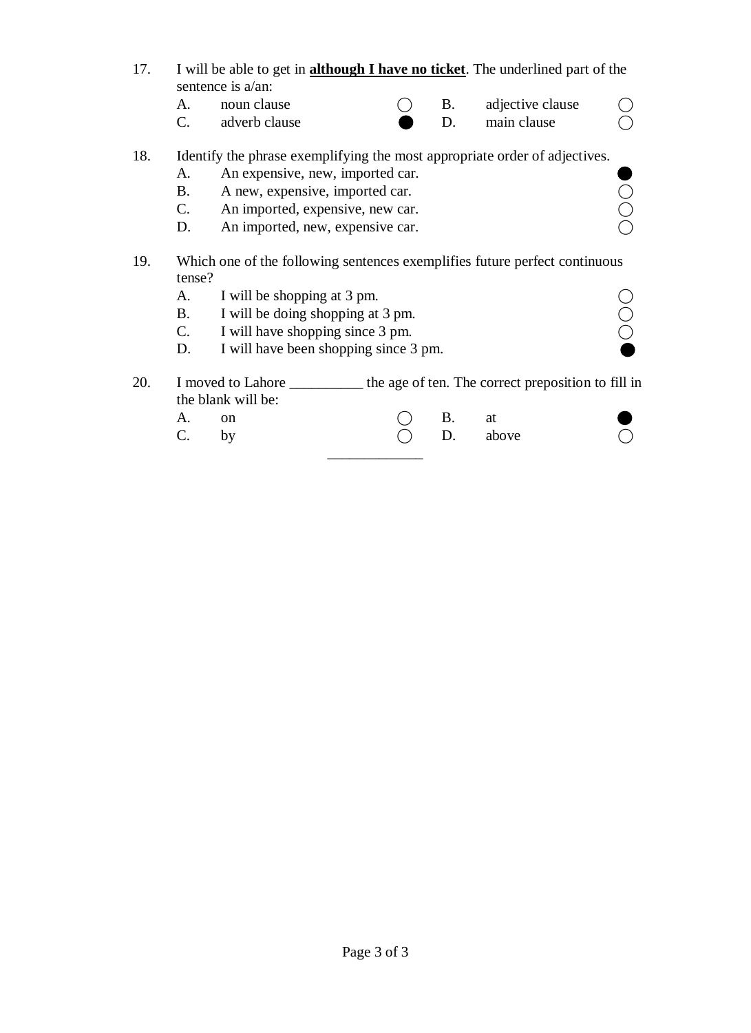- 17. I will be able to get in **although I have no ticket**. The underlined part of the sentence is a/an:
	- A. noun clause  $\bigcirc$  B. adjective clause  $\bigcirc$
	- $C.$  adverb clause  $D.$  main clause  $\bigcirc$
- 

18. Identify the phrase exemplifying the most appropriate order of adjectives.

- A. An expensive, new, imported car.
- 
- B. A new, expensive, imported car. <br>
C. An imported, expensive, new car. <br>
D. An imported new expensive car. An imported, expensive, new car.
- D. An imported, new, expensive car.
- 19. Which one of the following sentences exemplifies future perfect continuous tense?
	-
	- A. I will be shopping at 3 pm.<br>
	B. I will be doing shopping at 3 pm.<br>
	C. I will have shopping since 3 pm. B. I will be doing shopping at 3 pm.
	- C. I will have shopping since 3 pm.
	- D. I will have been shopping since 3 pm.
- 20. I moved to Lahore the age of ten. The correct preposition to fill in the blank will be:
	- A. on  $\bigcirc$  B. at C. by  $\bigcirc$  D. above  $\bigcirc$ \_\_\_\_\_\_\_\_\_\_\_\_\_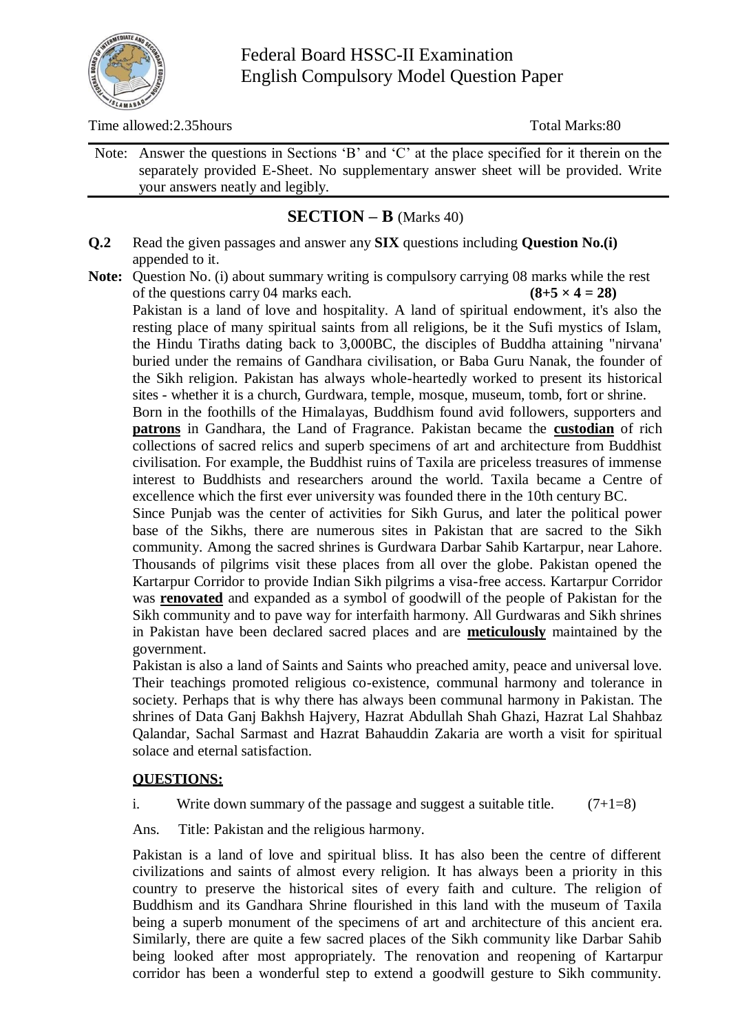

Time allowed:2.35hours Total Marks:80

Note: Answer the questions in Sections 'B' and 'C' at the place specified for it therein on the separately provided E-Sheet. No supplementary answer sheet will be provided. Write your answers neatly and legibly.

# **SECTION – B** (Marks 40)

- **Q.2** Read the given passages and answer any **SIX** questions including **Question No.(i)** appended to it.
- **Note:** Question No. (i) about summary writing is compulsory carrying 08 marks while the rest of the questions carry 04 marks each.  $(8+5 \times 4 = 28)$

Pakistan is a land of love and hospitality. A land of spiritual endowment, it's also the resting place of many spiritual saints from all religions, be it the Sufi mystics of Islam, the Hindu Tiraths dating back to 3,000BC, the disciples of Buddha attaining "nirvana' buried under the remains of Gandhara civilisation, or Baba Guru Nanak, the founder of the Sikh religion. Pakistan has always whole-heartedly worked to present its historical sites - whether it is a church, Gurdwara, temple, mosque, museum, tomb, fort or shrine.

Born in the foothills of the Himalayas, Buddhism found avid followers, supporters and **patrons** in Gandhara, the Land of Fragrance. Pakistan became the **custodian** of rich collections of sacred relics and superb specimens of art and architecture from Buddhist civilisation. For example, the Buddhist ruins of Taxila are priceless treasures of immense interest to Buddhists and researchers around the world. Taxila became a Centre of excellence which the first ever university was founded there in the 10th century BC.

Since Punjab was the center of activities for Sikh Gurus, and later the political power base of the Sikhs, there are numerous sites in Pakistan that are sacred to the Sikh community. Among the sacred shrines is Gurdwara Darbar Sahib Kartarpur, near Lahore. Thousands of pilgrims visit these places from all over the globe. Pakistan opened the Kartarpur Corridor to provide Indian Sikh pilgrims a visa-free access. Kartarpur Corridor was **renovated** and expanded as a symbol of goodwill of the people of Pakistan for the Sikh community and to pave way for interfaith harmony. All Gurdwaras and Sikh shrines in Pakistan have been declared sacred places and are **meticulously** maintained by the government.

Pakistan is also a land of Saints and Saints who preached amity, peace and universal love. Their teachings promoted religious co-existence, communal harmony and tolerance in society. Perhaps that is why there has always been communal harmony in Pakistan. The shrines of Data Ganj Bakhsh Hajvery, Hazrat Abdullah Shah Ghazi, Hazrat Lal Shahbaz Qalandar, Sachal Sarmast and Hazrat Bahauddin Zakaria are worth a visit for spiritual solace and eternal satisfaction.

# **QUESTIONS:**

i. Write down summary of the passage and suggest a suitable title.  $(7+1=8)$ 

Ans. Title: Pakistan and the religious harmony.

Pakistan is a land of love and spiritual bliss. It has also been the centre of different civilizations and saints of almost every religion. It has always been a priority in this country to preserve the historical sites of every faith and culture. The religion of Buddhism and its Gandhara Shrine flourished in this land with the museum of Taxila being a superb monument of the specimens of art and architecture of this ancient era. Similarly, there are quite a few sacred places of the Sikh community like Darbar Sahib being looked after most appropriately. The renovation and reopening of Kartarpur corridor has been a wonderful step to extend a goodwill gesture to Sikh community.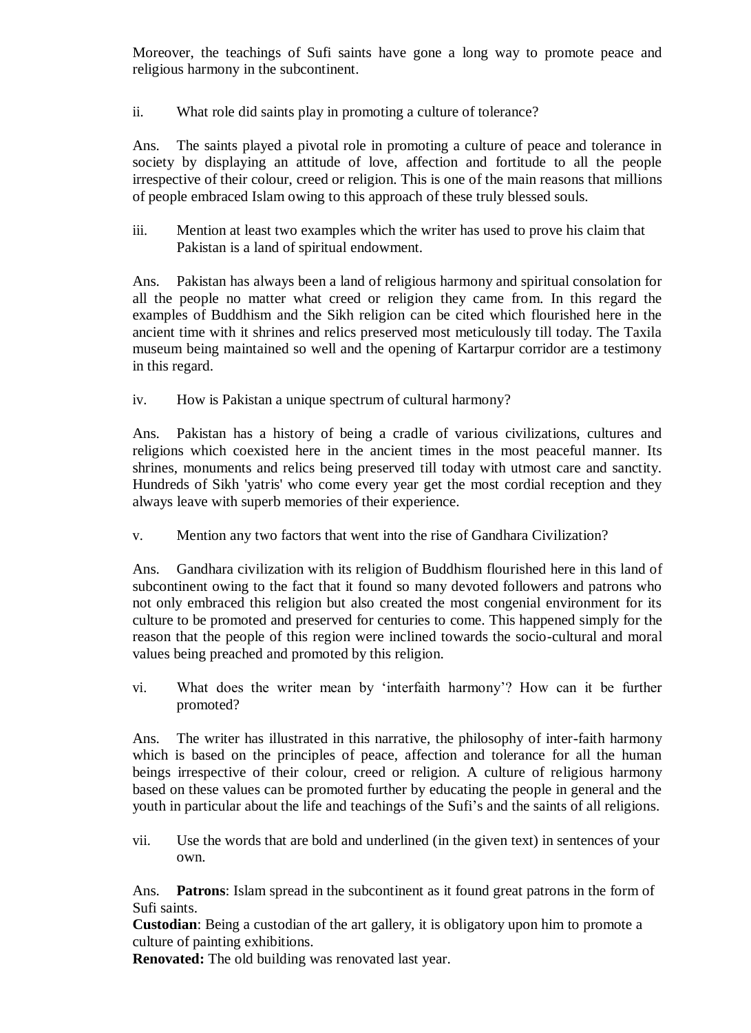Moreover, the teachings of Sufi saints have gone a long way to promote peace and religious harmony in the subcontinent.

ii. What role did saints play in promoting a culture of tolerance?

Ans. The saints played a pivotal role in promoting a culture of peace and tolerance in society by displaying an attitude of love, affection and fortitude to all the people irrespective of their colour, creed or religion. This is one of the main reasons that millions of people embraced Islam owing to this approach of these truly blessed souls.

iii. Mention at least two examples which the writer has used to prove his claim that Pakistan is a land of spiritual endowment.

Ans. Pakistan has always been a land of religious harmony and spiritual consolation for all the people no matter what creed or religion they came from. In this regard the examples of Buddhism and the Sikh religion can be cited which flourished here in the ancient time with it shrines and relics preserved most meticulously till today. The Taxila museum being maintained so well and the opening of Kartarpur corridor are a testimony in this regard.

iv. How is Pakistan a unique spectrum of cultural harmony?

Ans. Pakistan has a history of being a cradle of various civilizations, cultures and religions which coexisted here in the ancient times in the most peaceful manner. Its shrines, monuments and relics being preserved till today with utmost care and sanctity. Hundreds of Sikh 'yatris' who come every year get the most cordial reception and they always leave with superb memories of their experience.

v. Mention any two factors that went into the rise of Gandhara Civilization?

Ans. Gandhara civilization with its religion of Buddhism flourished here in this land of subcontinent owing to the fact that it found so many devoted followers and patrons who not only embraced this religion but also created the most congenial environment for its culture to be promoted and preserved for centuries to come. This happened simply for the reason that the people of this region were inclined towards the socio-cultural and moral values being preached and promoted by this religion.

vi. What does the writer mean by 'interfaith harmony'? How can it be further promoted?

Ans. The writer has illustrated in this narrative, the philosophy of inter-faith harmony which is based on the principles of peace, affection and tolerance for all the human beings irrespective of their colour, creed or religion. A culture of religious harmony based on these values can be promoted further by educating the people in general and the youth in particular about the life and teachings of the Sufi's and the saints of all religions.

vii. Use the words that are bold and underlined (in the given text) in sentences of your own.

Ans. **Patrons**: Islam spread in the subcontinent as it found great patrons in the form of Sufi saints.

**Custodian**: Being a custodian of the art gallery, it is obligatory upon him to promote a culture of painting exhibitions.

**Renovated:** The old building was renovated last year.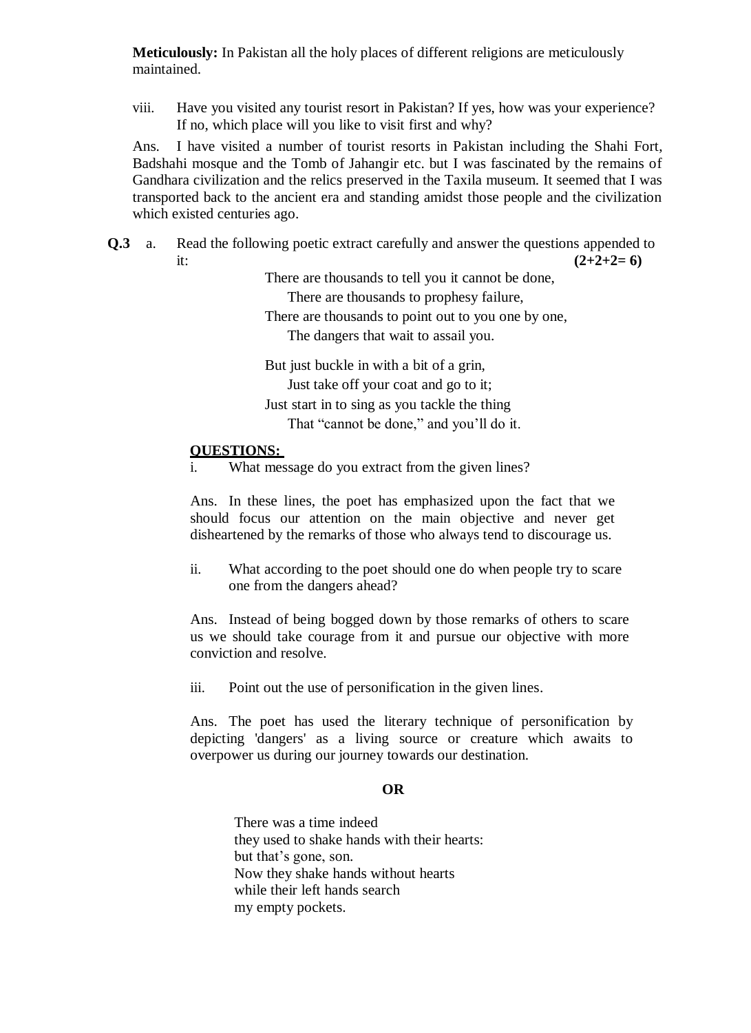**Meticulously:** In Pakistan all the holy places of different religions are meticulously maintained.

viii. Have you visited any tourist resort in Pakistan? If yes, how was your experience? If no, which place will you like to visit first and why?

Ans. I have visited a number of tourist resorts in Pakistan including the Shahi Fort, Badshahi mosque and the Tomb of Jahangir etc. but I was fascinated by the remains of Gandhara civilization and the relics preserved in the Taxila museum. It seemed that I was transported back to the ancient era and standing amidst those people and the civilization which existed centuries ago.

**Q.3** a. Read the following poetic extract carefully and answer the questions appended to it:  $(2+2+2=6)$ 

There are thousands to tell you it cannot be done, There are thousands to prophesy failure,

There are thousands to point out to you one by one. The dangers that wait to assail you.

But just buckle in with a bit of a grin,

Just take off your coat and go to it;

Just start in to sing as you tackle the thing

That "cannot be done," and you'll do it.

### **QUESTIONS:**

What message do you extract from the given lines?

Ans. In these lines, the poet has emphasized upon the fact that we should focus our attention on the main objective and never get disheartened by the remarks of those who always tend to discourage us.

ii. What according to the poet should one do when people try to scare one from the dangers ahead?

Ans. Instead of being bogged down by those remarks of others to scare us we should take courage from it and pursue our objective with more conviction and resolve.

iii. Point out the use of personification in the given lines.

Ans. The poet has used the literary technique of personification by depicting 'dangers' as a living source or creature which awaits to overpower us during our journey towards our destination.

#### **OR**

There was a time indeed they used to shake hands with their hearts: but that's gone, son. Now they shake hands without hearts while their left hands search my empty pockets.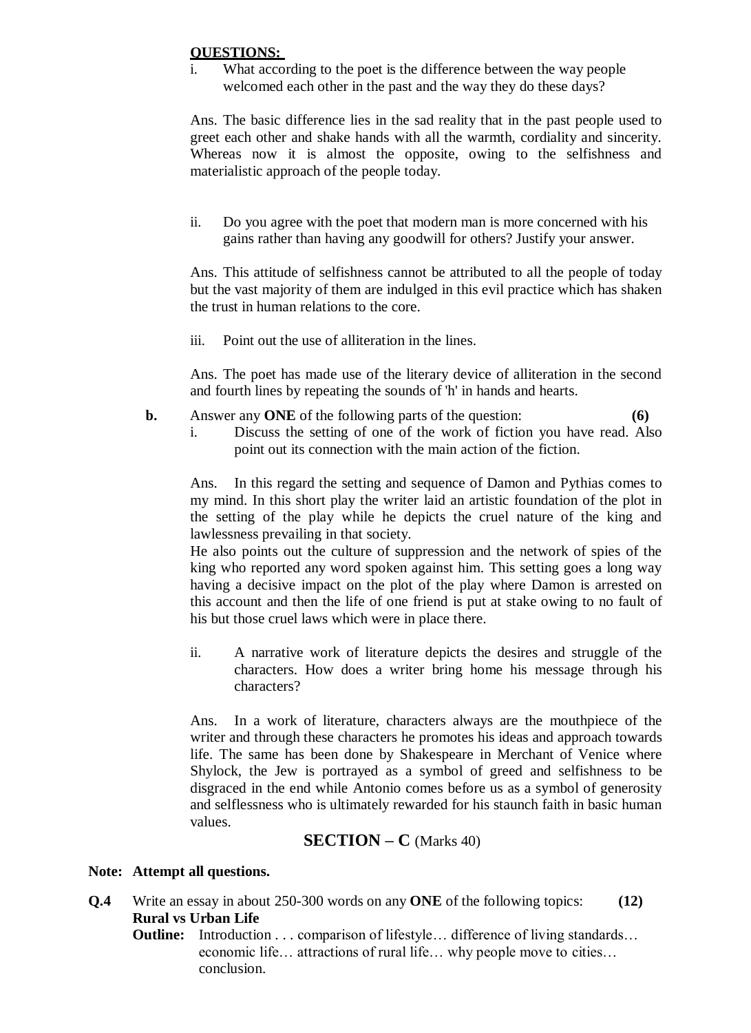### **QUESTIONS:**

i. What according to the poet is the difference between the way people welcomed each other in the past and the way they do these days?

Ans. The basic difference lies in the sad reality that in the past people used to greet each other and shake hands with all the warmth, cordiality and sincerity. Whereas now it is almost the opposite, owing to the selfishness and materialistic approach of the people today.

ii. Do you agree with the poet that modern man is more concerned with his gains rather than having any goodwill for others? Justify your answer.

Ans. This attitude of selfishness cannot be attributed to all the people of today but the vast majority of them are indulged in this evil practice which has shaken the trust in human relations to the core.

iii. Point out the use of alliteration in the lines.

Ans. The poet has made use of the literary device of alliteration in the second and fourth lines by repeating the sounds of 'h' in hands and hearts.

- **b.** Answer any **ONE** of the following parts of the question: **(6)**
	- i. Discuss the setting of one of the work of fiction you have read. Also point out its connection with the main action of the fiction.

Ans. In this regard the setting and sequence of Damon and Pythias comes to my mind. In this short play the writer laid an artistic foundation of the plot in the setting of the play while he depicts the cruel nature of the king and lawlessness prevailing in that society.

He also points out the culture of suppression and the network of spies of the king who reported any word spoken against him. This setting goes a long way having a decisive impact on the plot of the play where Damon is arrested on this account and then the life of one friend is put at stake owing to no fault of his but those cruel laws which were in place there.

ii. A narrative work of literature depicts the desires and struggle of the characters. How does a writer bring home his message through his characters?

Ans. In a work of literature, characters always are the mouthpiece of the writer and through these characters he promotes his ideas and approach towards life. The same has been done by Shakespeare in Merchant of Venice where Shylock, the Jew is portrayed as a symbol of greed and selfishness to be disgraced in the end while Antonio comes before us as a symbol of generosity and selflessness who is ultimately rewarded for his staunch faith in basic human values.

# **SECTION – C** (Marks 40)

#### **Note: Attempt all questions.**

- **Q.4** Write an essay in about 250-300 words on any **ONE** of the following topics: **(12) Rural vs Urban Life**
	- **Outline:** Introduction . . . comparison of lifestyle... difference of living standards... economic life… attractions of rural life… why people move to cities… conclusion.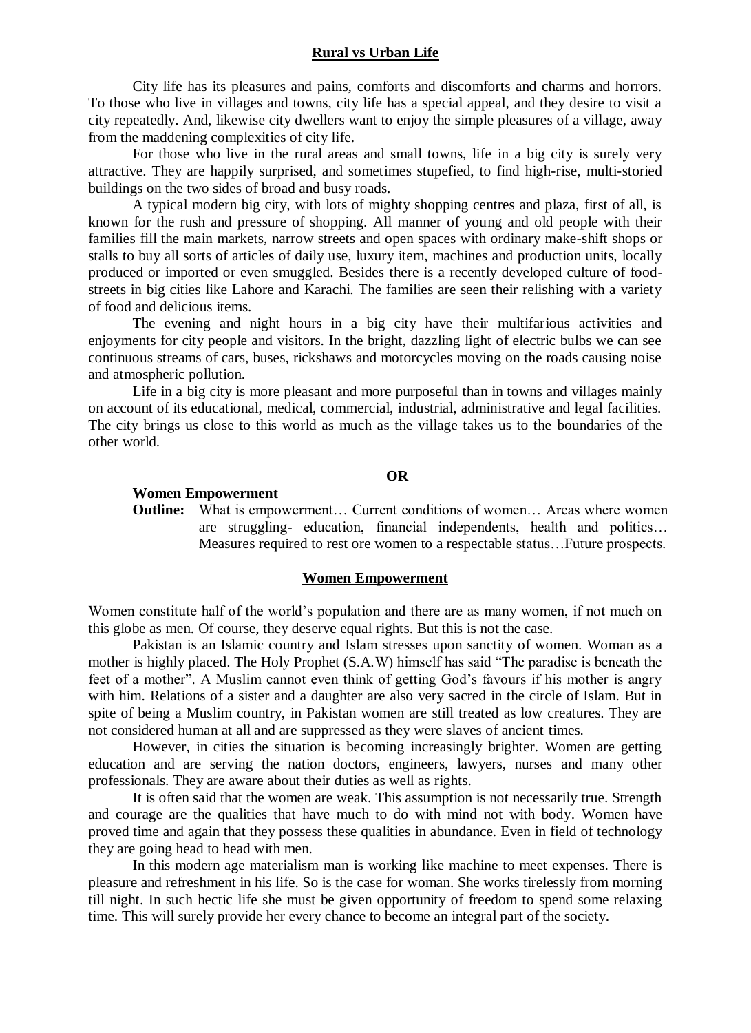#### **Rural vs Urban Life**

City life has its pleasures and pains, comforts and discomforts and charms and horrors. To those who live in villages and towns, city life has a special appeal, and they desire to visit a city repeatedly. And, likewise city dwellers want to enjoy the simple pleasures of a village, away from the maddening complexities of city life.

For those who live in the rural areas and small towns, life in a big city is surely very attractive. They are happily surprised, and sometimes stupefied, to find high-rise, multi-storied buildings on the two sides of broad and busy roads.

A typical modern big city, with lots of mighty shopping centres and plaza, first of all, is known for the rush and pressure of shopping. All manner of young and old people with their families fill the main markets, narrow streets and open spaces with ordinary make-shift shops or stalls to buy all sorts of articles of daily use, luxury item, machines and production units, locally produced or imported or even smuggled. Besides there is a recently developed culture of foodstreets in big cities like Lahore and Karachi. The families are seen their relishing with a variety of food and delicious items.

The evening and night hours in a big city have their multifarious activities and enjoyments for city people and visitors. In the bright, dazzling light of electric bulbs we can see continuous streams of cars, buses, rickshaws and motorcycles moving on the roads causing noise and atmospheric pollution.

Life in a big city is more pleasant and more purposeful than in towns and villages mainly on account of its educational, medical, commercial, industrial, administrative and legal facilities. The city brings us close to this world as much as the village takes us to the boundaries of the other world.

### **OR**

#### **Women Empowerment**

**Outline:** What is empowerment... Current conditions of women... Areas where women are struggling- education, financial independents, health and politics… Measures required to rest ore women to a respectable status…Future prospects.

#### **Women Empowerment**

Women constitute half of the world's population and there are as many women, if not much on this globe as men. Of course, they deserve equal rights. But this is not the case.

Pakistan is an Islamic country and Islam stresses upon sanctity of women. Woman as a mother is highly placed. The Holy Prophet (S.A.W) himself has said "The paradise is beneath the feet of a mother". A Muslim cannot even think of getting God's favours if his mother is angry with him. Relations of a sister and a daughter are also very sacred in the circle of Islam. But in spite of being a Muslim country, in Pakistan women are still treated as low creatures. They are not considered human at all and are suppressed as they were slaves of ancient times.

However, in cities the situation is becoming increasingly brighter. Women are getting education and are serving the nation doctors, engineers, lawyers, nurses and many other professionals. They are aware about their duties as well as rights.

It is often said that the women are weak. This assumption is not necessarily true. Strength and courage are the qualities that have much to do with mind not with body. Women have proved time and again that they possess these qualities in abundance. Even in field of technology they are going head to head with men.

In this modern age materialism man is working like machine to meet expenses. There is pleasure and refreshment in his life. So is the case for woman. She works tirelessly from morning till night. In such hectic life she must be given opportunity of freedom to spend some relaxing time. This will surely provide her every chance to become an integral part of the society.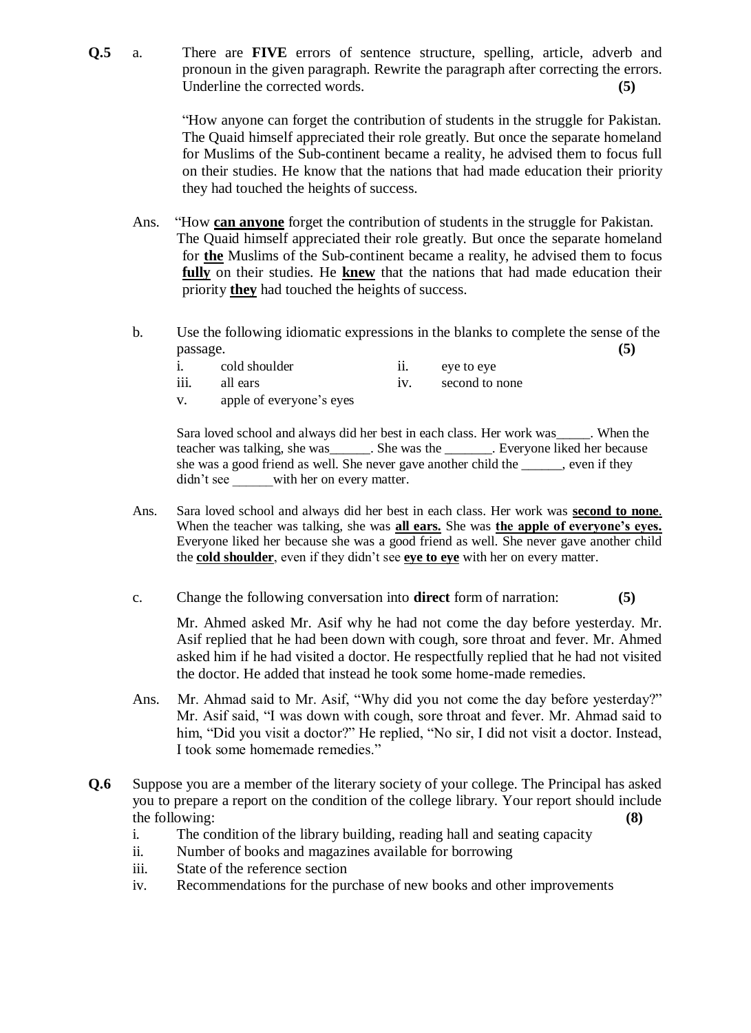**Q.5** a. There are **FIVE** errors of sentence structure, spelling, article, adverb and pronoun in the given paragraph. Rewrite the paragraph after correcting the errors. Underline the corrected words. **(5)** Underline the corrected words. **(5)** 

> "How anyone can forget the contribution of students in the struggle for Pakistan. The Quaid himself appreciated their role greatly. But once the separate homeland for Muslims of the Sub-continent became a reality, he advised them to focus full on their studies. He know that the nations that had made education their priority they had touched the heights of success.

- Ans. "How **can anyone** forget the contribution of students in the struggle for Pakistan. The Quaid himself appreciated their role greatly. But once the separate homeland for **the** Muslims of the Sub-continent became a reality, he advised them to focus **fully** on their studies. He **knew** that the nations that had made education their priority **they** had touched the heights of success.
- b. Use the following idiomatic expressions in the blanks to complete the sense of the passage. **(5)**

| cold shoulder |  | eye to eye |  |
|---------------|--|------------|--|
|---------------|--|------------|--|

- iii. all ears iv. second to none
- v. apple of everyone's eyes

Sara loved school and always did her best in each class. Her work was\_\_\_\_\_. When the teacher was talking, she was\_\_\_\_\_\_. She was the \_\_\_\_\_\_\_. Everyone liked her because she was a good friend as well. She never gave another child the even if they didn't see with her on every matter.

- Ans. Sara loved school and always did her best in each class. Her work was **second to none**. When the teacher was talking, she was **all ears.** She was **the apple of everyone's eyes.** Everyone liked her because she was a good friend as well. She never gave another child the **cold shoulder**, even if they didn't see **eye to eye** with her on every matter.
- c. Change the following conversation into **direct** form of narration: **(5)**

Mr. Ahmed asked Mr. Asif why he had not come the day before yesterday. Mr. Asif replied that he had been down with cough, sore throat and fever. Mr. Ahmed asked him if he had visited a doctor. He respectfully replied that he had not visited the doctor. He added that instead he took some home-made remedies.

- Ans. Mr. Ahmad said to Mr. Asif, "Why did you not come the day before yesterday?" Mr. Asif said, "I was down with cough, sore throat and fever. Mr. Ahmad said to him, "Did you visit a doctor?" He replied, "No sir, I did not visit a doctor. Instead, I took some homemade remedies."
- **Q.6** Suppose you are a member of the literary society of your college. The Principal has asked you to prepare a report on the condition of the college library. Your report should include the following: **(8)**
	- i. The condition of the library building, reading hall and seating capacity
	- ii. Number of books and magazines available for borrowing
	- iii. State of the reference section
	- iv. Recommendations for the purchase of new books and other improvements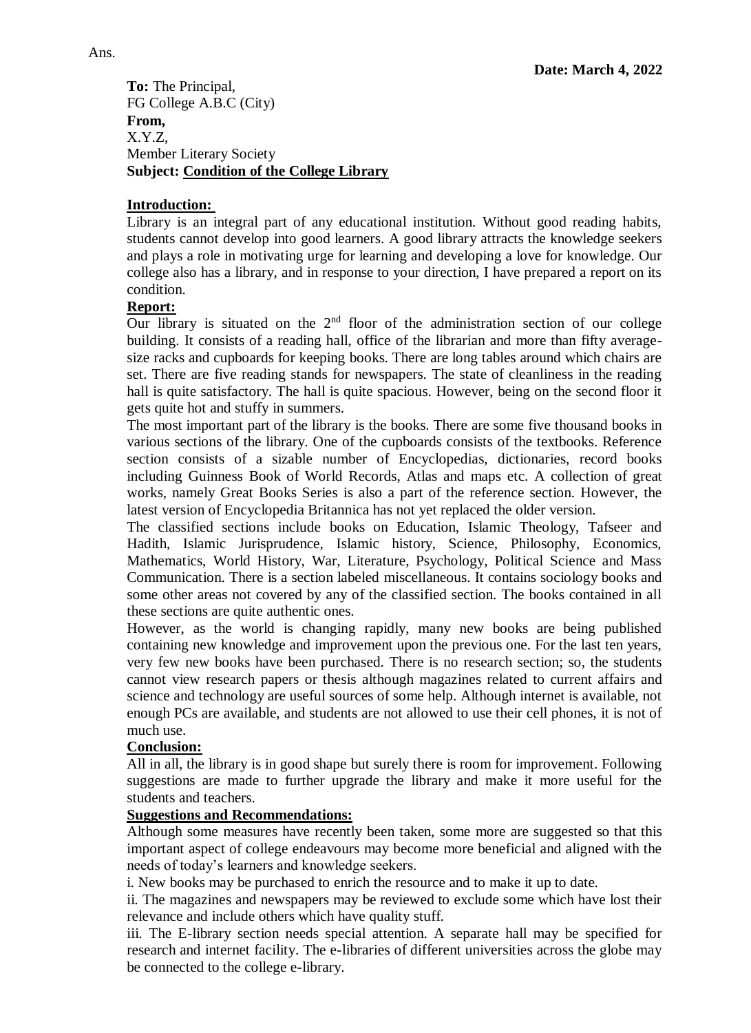**To:** The Principal, FG College A.B.C (City) **From,** X.Y.Z, Member Literary Society **Subject: Condition of the College Library**

# **Introduction:**

Library is an integral part of any educational institution. Without good reading habits, students cannot develop into good learners. A good library attracts the knowledge seekers and plays a role in motivating urge for learning and developing a love for knowledge. Our college also has a library, and in response to your direction, I have prepared a report on its condition.

# **Report:**

Our library is situated on the  $2<sup>nd</sup>$  floor of the administration section of our college building. It consists of a reading hall, office of the librarian and more than fifty averagesize racks and cupboards for keeping books. There are long tables around which chairs are set. There are five reading stands for newspapers. The state of cleanliness in the reading hall is quite satisfactory. The hall is quite spacious. However, being on the second floor it gets quite hot and stuffy in summers.

The most important part of the library is the books. There are some five thousand books in various sections of the library. One of the cupboards consists of the textbooks. Reference section consists of a sizable number of Encyclopedias, dictionaries, record books including Guinness Book of World Records, Atlas and maps etc. A collection of great works, namely Great Books Series is also a part of the reference section. However, the latest version of Encyclopedia Britannica has not yet replaced the older version.

The classified sections include books on Education, Islamic Theology, Tafseer and Hadith, Islamic Jurisprudence, Islamic history, Science, Philosophy, Economics, Mathematics, World History, War, Literature, Psychology, Political Science and Mass Communication. There is a section labeled miscellaneous. It contains sociology books and some other areas not covered by any of the classified section. The books contained in all these sections are quite authentic ones.

However, as the world is changing rapidly, many new books are being published containing new knowledge and improvement upon the previous one. For the last ten years, very few new books have been purchased. There is no research section; so, the students cannot view research papers or thesis although magazines related to current affairs and science and technology are useful sources of some help. Although internet is available, not enough PCs are available, and students are not allowed to use their cell phones, it is not of much use.

# **Conclusion:**

All in all, the library is in good shape but surely there is room for improvement. Following suggestions are made to further upgrade the library and make it more useful for the students and teachers.

#### **Suggestions and Recommendations:**

Although some measures have recently been taken, some more are suggested so that this important aspect of college endeavours may become more beneficial and aligned with the needs of today's learners and knowledge seekers.

i. New books may be purchased to enrich the resource and to make it up to date.

ii. The magazines and newspapers may be reviewed to exclude some which have lost their relevance and include others which have quality stuff.

iii. The E-library section needs special attention. A separate hall may be specified for research and internet facility. The e-libraries of different universities across the globe may be connected to the college e-library.